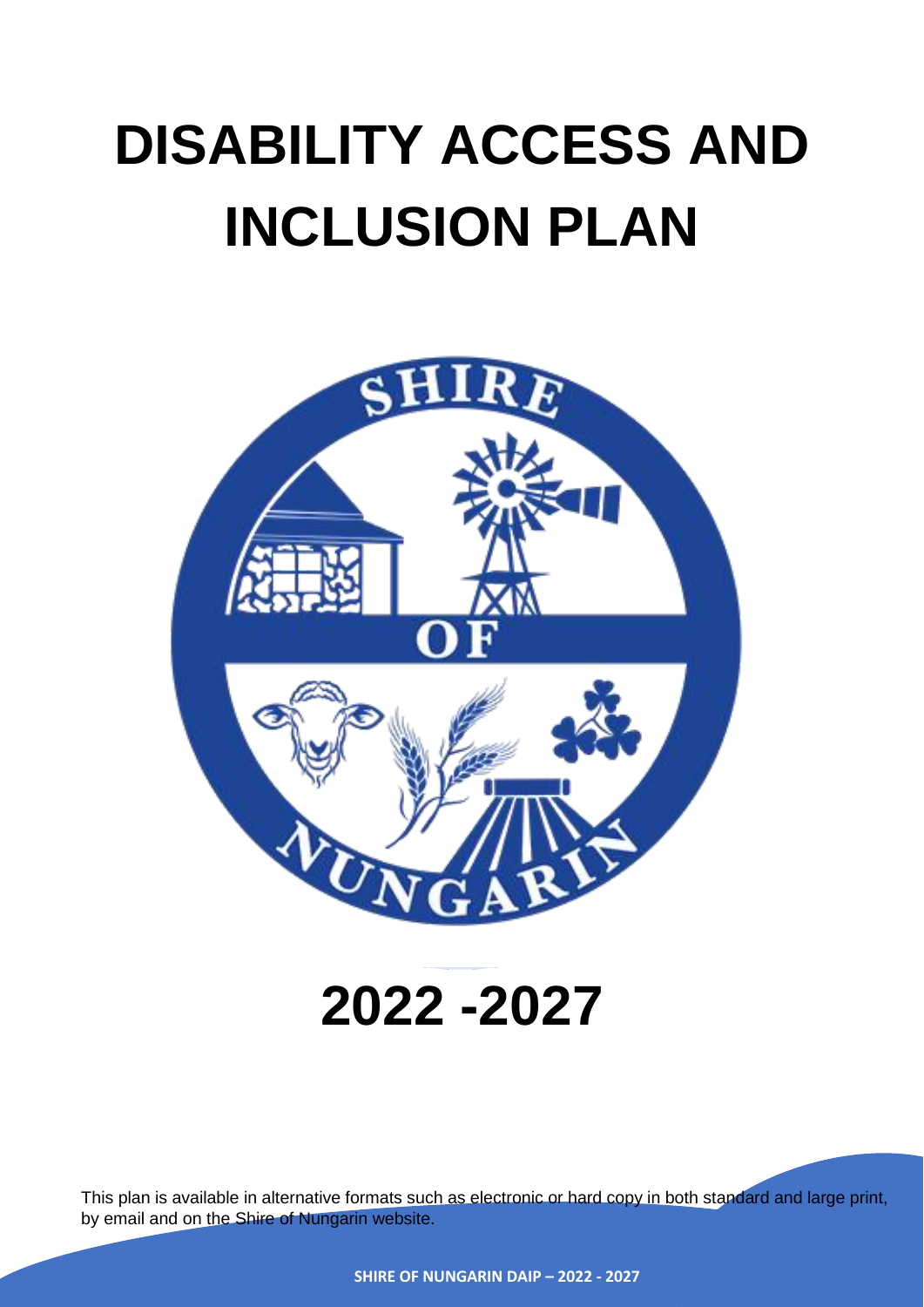# **DISABILITY ACCESS AND INCLUSION PLAN**



# **2022 -2027**

This plan is available in alternative formats such as electronic or hard copy in both standard and large print, by email and on the Shire of Nungarin website.

**SHIRE OF NUNGARIN DAIP – 2022 - 2027**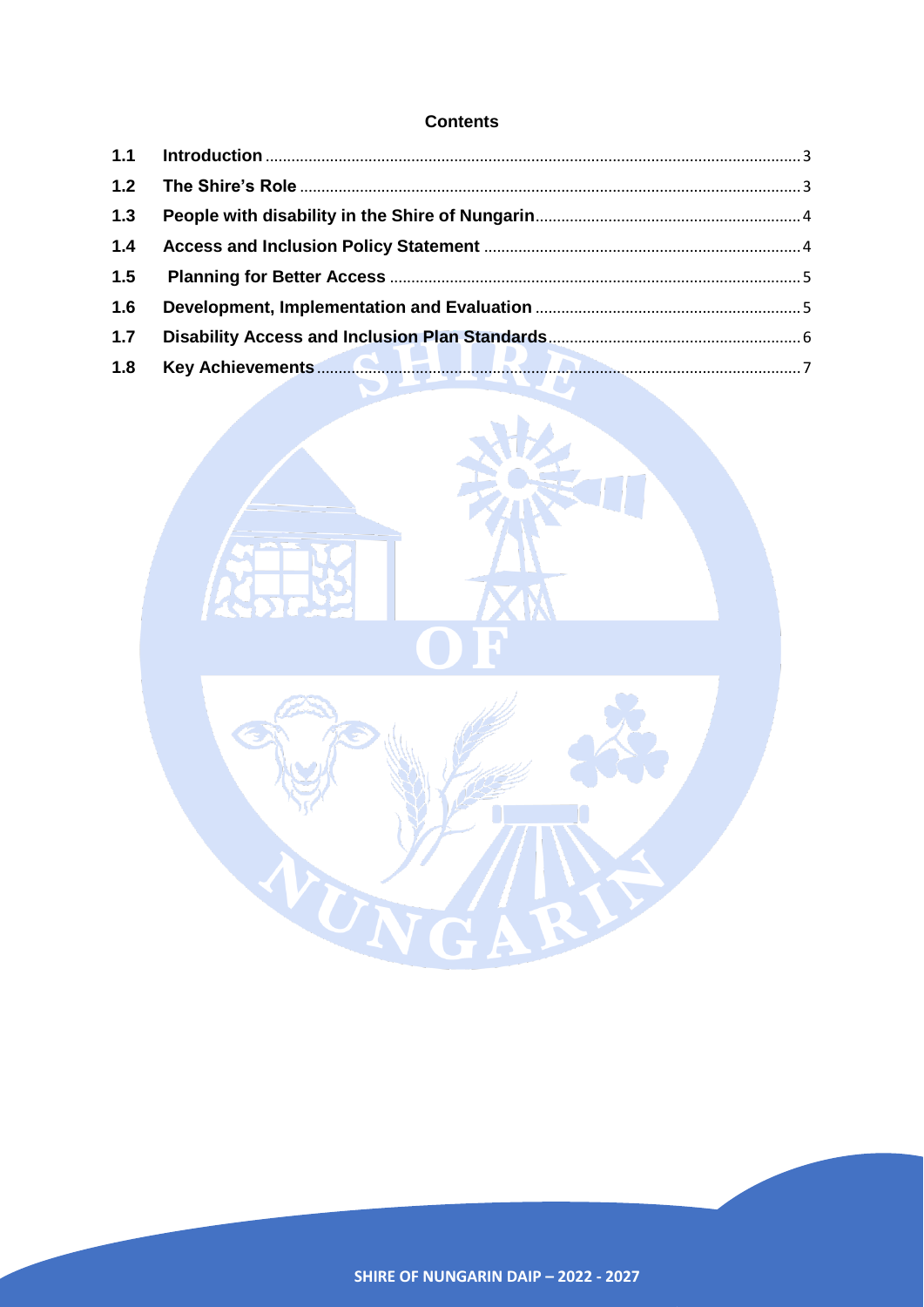# **Contents**

| $1.3$ |  |
|-------|--|
| 1.4   |  |
| 1.5   |  |
| 1.6   |  |
| 1.7   |  |
| 1.8   |  |

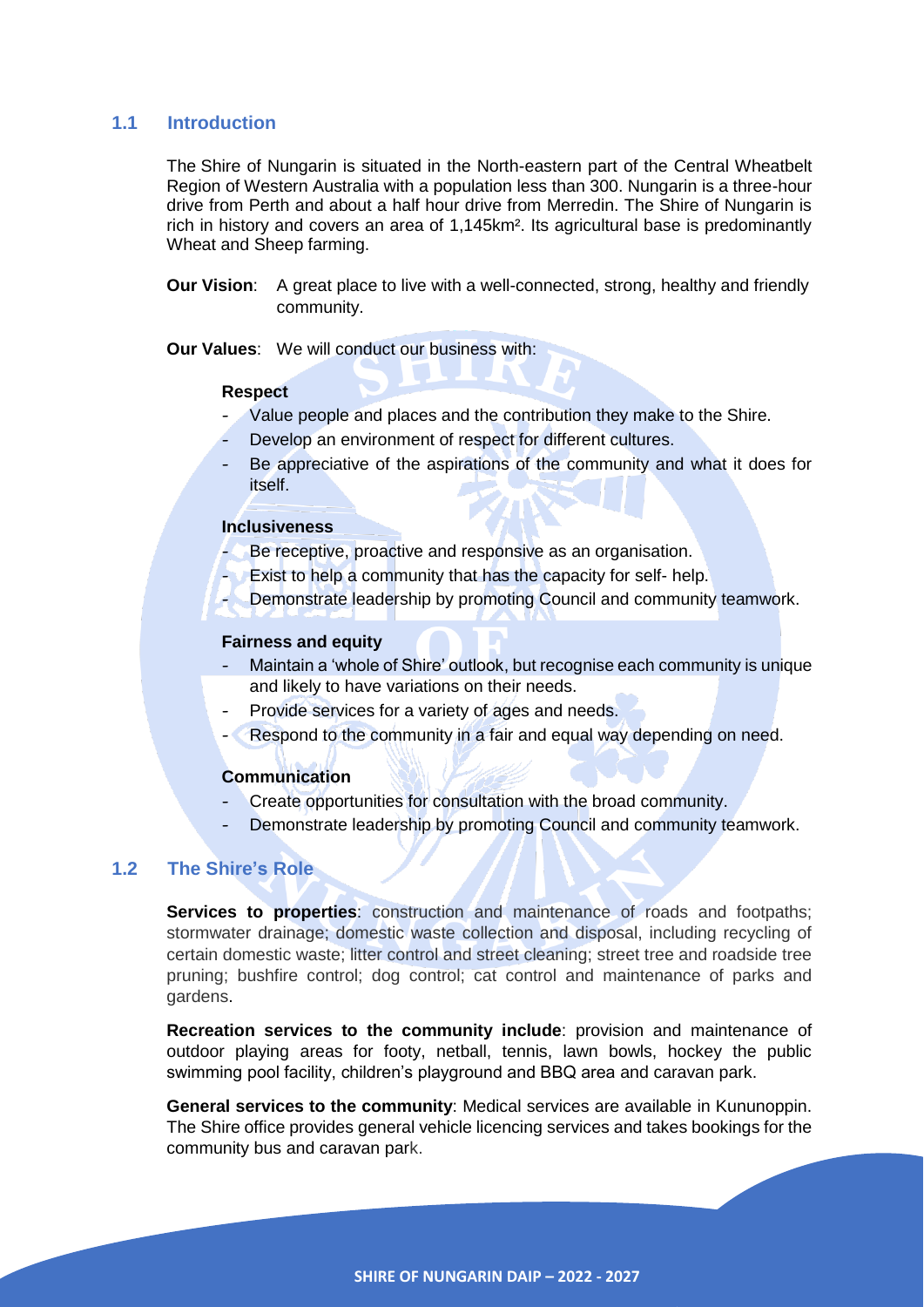# <span id="page-2-0"></span>**1.1 Introduction**

The Shire of Nungarin is situated in the North-eastern part of the Central Wheatbelt Region of Western Australia with a population less than 300. Nungarin is a three-hour drive from Perth and about a half hour drive from Merredin. The Shire of Nungarin is rich in history and covers an area of 1,145km². Its agricultural base is predominantly Wheat and Sheep farming.

**Our Vision:** A great place to live with a well-connected, strong, healthy and friendly community.

**Our Values**: We will conduct our business with:

#### **Respect**

- Value people and places and the contribution they make to the Shire.
- Develop an environment of respect for different cultures.
- Be appreciative of the aspirations of the community and what it does for itself.

#### **Inclusiveness**

- Be receptive, proactive and responsive as an organisation.
- Exist to help a community that has the capacity for self- help.
- Demonstrate leadership by promoting Council and community teamwork.

## **Fairness and equity**

- Maintain a 'whole of Shire' outlook, but recognise each community is unique and likely to have variations on their needs.
- Provide services for a variety of ages and needs.
- Respond to the community in a fair and equal way depending on need.

#### **Communication**

- Create opportunities for consultation with the broad community.
- Demonstrate leadership by promoting Council and community teamwork.

# <span id="page-2-1"></span>**1.2 The Shire's Role**

**Services to properties**: construction and maintenance of roads and footpaths; stormwater drainage; domestic waste collection and disposal, including recycling of certain domestic waste; litter control and street cleaning; street tree and roadside tree pruning; bushfire control; dog control; cat control and maintenance of parks and gardens.

**Recreation services to the community include**: provision and maintenance of outdoor playing areas for footy, netball, tennis, lawn bowls, hockey the public swimming pool facility, children's playground and BBQ area and caravan park.

**General services to the community**: Medical services are available in Kununoppin. The Shire office provides general vehicle licencing services and takes bookings for the community bus and caravan park.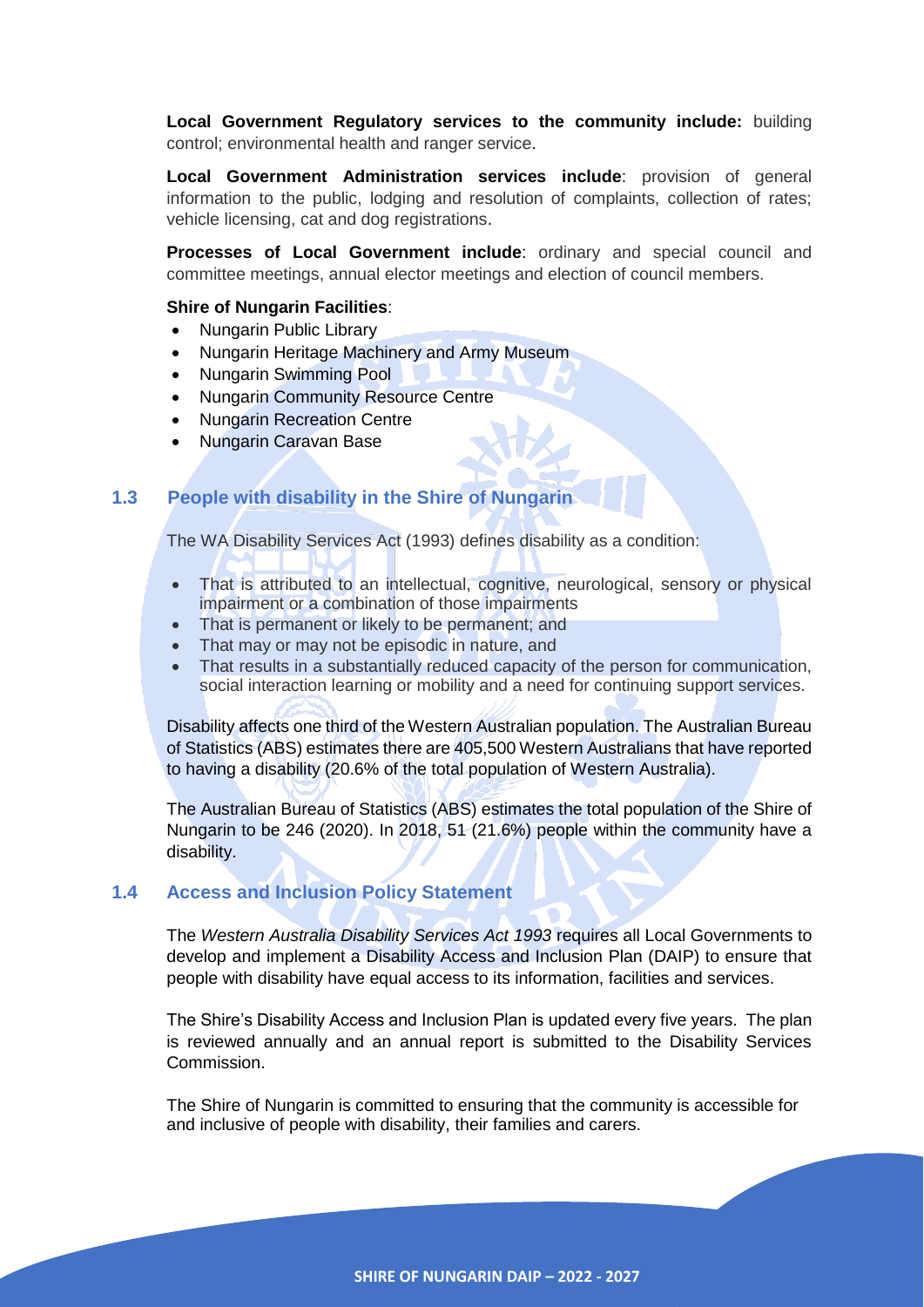**Local Government Regulatory services to the community include:** building control; environmental health and ranger service.

**Local Government Administration services include**: provision of general information to the public, lodging and resolution of complaints, collection of rates; vehicle licensing, cat and dog registrations.

**Processes of Local Government include**: ordinary and special council and committee meetings, annual elector meetings and election of council members.

## **Shire of Nungarin Facilities**:

- Nungarin Public Library
- Nungarin Heritage Machinery and Army Museum
- Nungarin Swimming Pool
- Nungarin Community Resource Centre
- Nungarin Recreation Centre
- Nungarin Caravan Base

# <span id="page-3-0"></span>**1.3 People with disability in the Shire of Nungarin**

The WA Disability Services Act (1993) defines disability as a condition:

- That is attributed to an intellectual, cognitive, neurological, sensory or physical impairment or a combination of those impairments
- That is permanent or likely to be permanent; and
- That may or may not be episodic in nature, and
- That results in a substantially reduced capacity of the person for communication, social interaction learning or mobility and a need for continuing support services.

Disability affects one third of the Western Australian population. The Australian Bureau of Statistics (ABS) estimates there are 405,500 Western Australians that have reported to having a disability (20.6% of the total population of Western Australia).

The Australian Bureau of Statistics (ABS) estimates the total population of the Shire of Nungarin to be 246 (2020). In 2018, 51 (21.6%) people within the community have a disability.

# <span id="page-3-1"></span>**1.4 Access and Inclusion Policy Statement**

The *Western Australia Disability Services Act 1993* requires all Local Governments to develop and implement a Disability Access and Inclusion Plan (DAIP) to ensure that people with disability have equal access to its information, facilities and services.

The Shire's Disability Access and Inclusion Plan is updated every five years. The plan is reviewed annually and an annual report is submitted to the Disability Services Commission.

The Shire of Nungarin is committed to ensuring that the community is accessible for and inclusive of people with disability, their families and carers.

**SHIRE OF NUNGARIN DAIP – 2022 - 2027**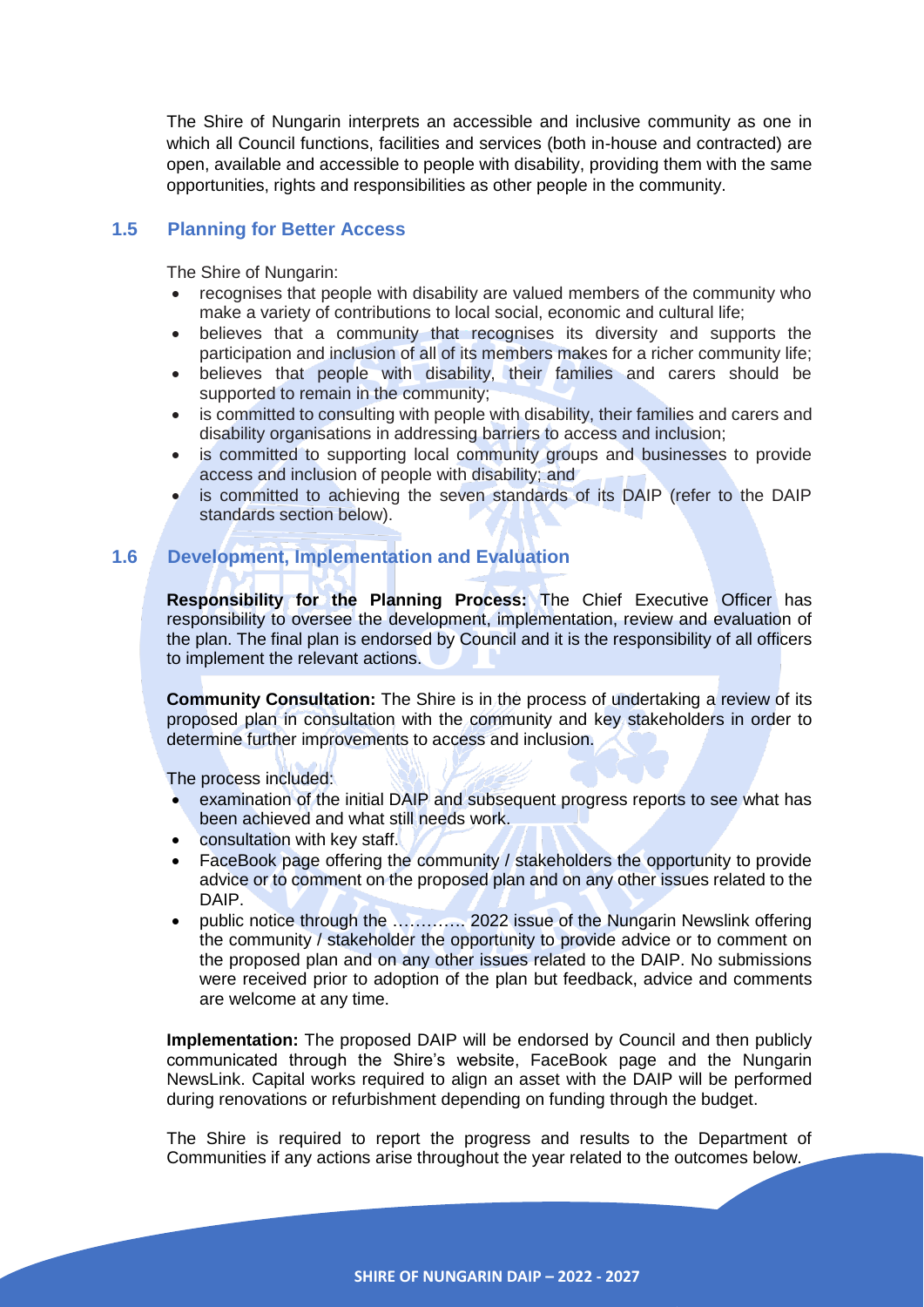The Shire of Nungarin interprets an accessible and inclusive community as one in which all Council functions, facilities and services (both in-house and contracted) are open, available and accessible to people with disability, providing them with the same opportunities, rights and responsibilities as other people in the community.

# <span id="page-4-0"></span>**1.5 Planning for Better Access**

The Shire of Nungarin:

- recognises that people with disability are valued members of the community who make a variety of contributions to local social, economic and cultural life;
- believes that a community that recognises its diversity and supports the participation and inclusion of all of its members makes for a richer community life;
- believes that people with disability, their families and carers should be supported to remain in the community;
- is committed to consulting with people with disability, their families and carers and disability organisations in addressing barriers to access and inclusion;
- is committed to supporting local community groups and businesses to provide access and inclusion of people with disability; and
- is committed to achieving the seven standards of its DAIP (refer to the DAIP standards section below).

# <span id="page-4-1"></span>**1.6 Development, Implementation and Evaluation**

**Responsibility for the Planning Process:** The Chief Executive Officer has responsibility to oversee the development, implementation, review and evaluation of the plan. The final plan is endorsed by Council and it is the responsibility of all officers to implement the relevant actions.

**Community Consultation:** The Shire is in the process of undertaking a review of its proposed plan in consultation with the community and key stakeholders in order to determine further improvements to access and inclusion.

The process included:

- examination of the initial DAIP and subsequent progress reports to see what has been achieved and what still needs work.
- consultation with key staff.
- FaceBook page offering the community / stakeholders the opportunity to provide advice or to comment on the proposed plan and on any other issues related to the DAIP.
- public notice through the …………. 2022 issue of the Nungarin Newslink offering the community / stakeholder the opportunity to provide advice or to comment on the proposed plan and on any other issues related to the DAIP. No submissions were received prior to adoption of the plan but feedback, advice and comments are welcome at any time.

**Implementation:** The proposed DAIP will be endorsed by Council and then publicly communicated through the Shire's website, FaceBook page and the Nungarin NewsLink. Capital works required to align an asset with the DAIP will be performed during renovations or refurbishment depending on funding through the budget.

The Shire is required to report the progress and results to the Department of Communities if any actions arise throughout the year related to the outcomes below.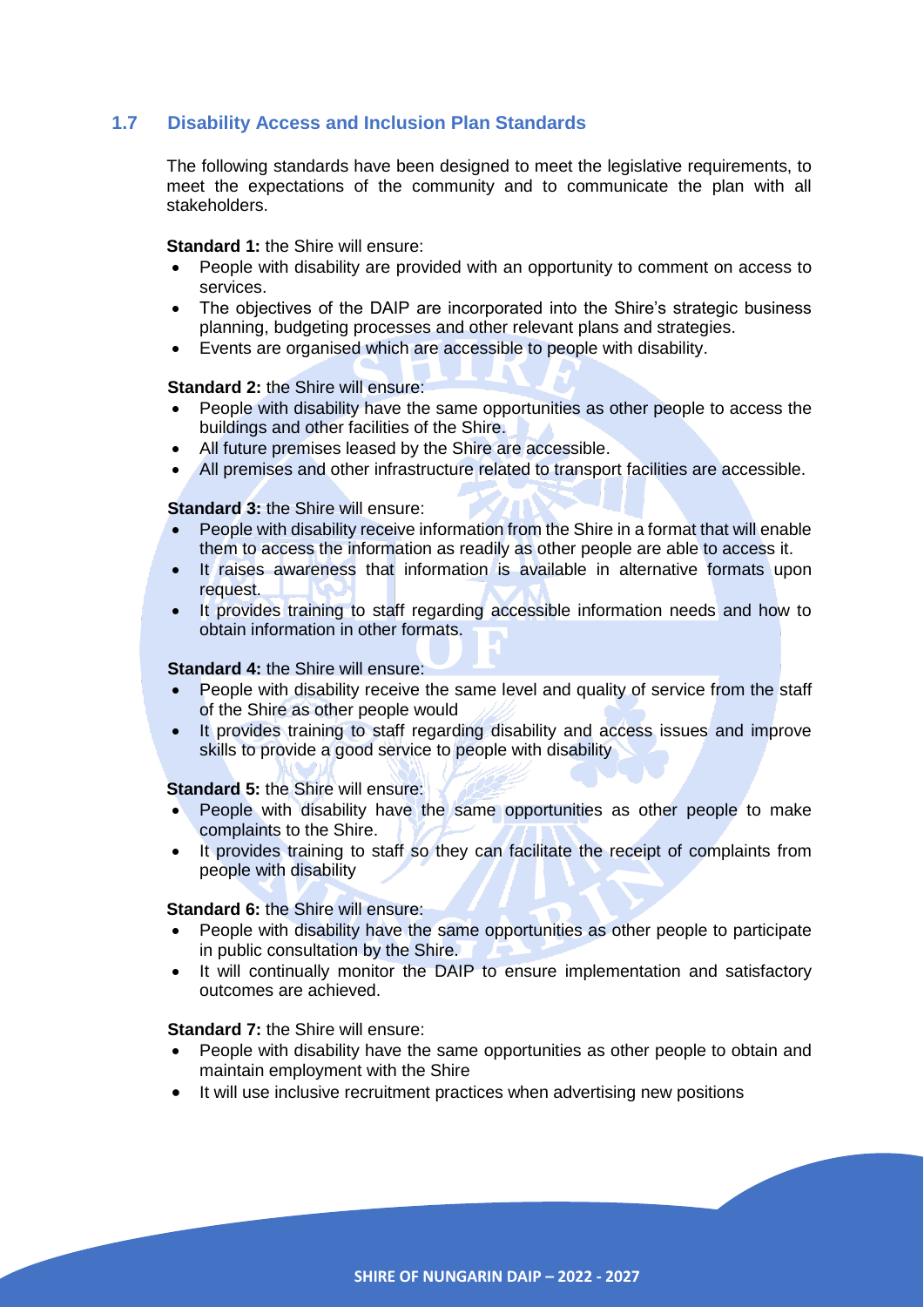# <span id="page-5-0"></span>**1.7 Disability Access and Inclusion Plan Standards**

The following standards have been designed to meet the legislative requirements, to meet the expectations of the community and to communicate the plan with all stakeholders.

**Standard 1:** the Shire will ensure:

- People with disability are provided with an opportunity to comment on access to services.
- The objectives of the DAIP are incorporated into the Shire's strategic business planning, budgeting processes and other relevant plans and strategies.
- Events are organised which are accessible to people with disability.

#### **Standard 2: the Shire will ensure:**

- People with disability have the same opportunities as other people to access the buildings and other facilities of the Shire.
- All future premises leased by the Shire are accessible.
- All premises and other infrastructure related to transport facilities are accessible.

#### **Standard 3: the Shire will ensure:**

- People with disability receive information from the Shire in a format that will enable them to access the information as readily as other people are able to access it.
- It raises awareness that information is available in alternative formats upon request.
- It provides training to staff regarding accessible information needs and how to obtain information in other formats.

#### **Standard 4: the Shire will ensure:**

- People with disability receive the same level and quality of service from the staff of the Shire as other people would
- It provides training to staff regarding disability and access issues and improve skills to provide a good service to people with disability

#### **Standard 5:** the Shire will ensure:

- People with disability have the same opportunities as other people to make complaints to the Shire.
- It provides training to staff so they can facilitate the receipt of complaints from people with disability

## **Standard 6: the Shire will ensure:**

- People with disability have the same opportunities as other people to participate in public consultation by the Shire.
- It will continually monitor the DAIP to ensure implementation and satisfactory outcomes are achieved.

#### **Standard 7: the Shire will ensure:**

- People with disability have the same opportunities as other people to obtain and maintain employment with the Shire
- It will use inclusive recruitment practices when advertising new positions